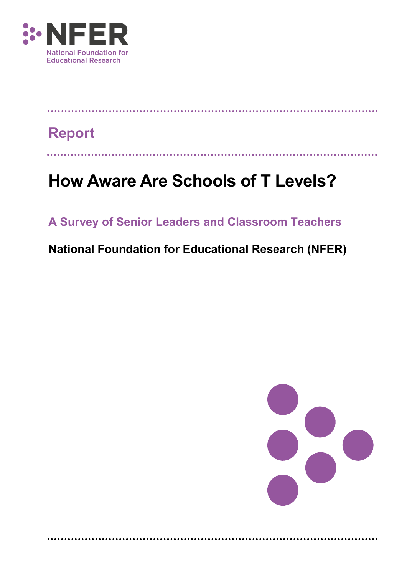

# **Report**

# **How Aware Are Schools of T Levels?**

# **A Survey of Senior Leaders and Classroom Teachers**

# **National Foundation for Educational Research (NFER)**

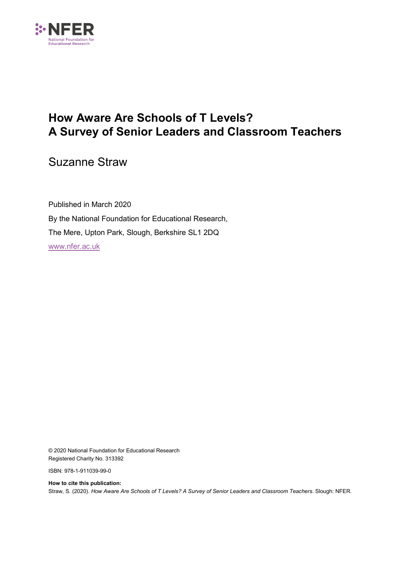

# **How Aware Are Schools of T Levels? A Survey of Senior Leaders and Classroom Teachers**

Suzanne Straw

Published in March 2020 By the National Foundation for Educational Research, The Mere, Upton Park, Slough, Berkshire SL1 2DQ [www.nfer.ac.uk](http://www.nfer.ac.uk/)

© 2020 National Foundation for Educational Research Registered Charity No. 313392

ISBN: 978-1-911039-99-0

**How to cite this publication:** Straw, S. (2020). *How Aware Are Schools of T Levels? A Survey of Senior Leaders and Classroom Teachers*. Slough: NFER.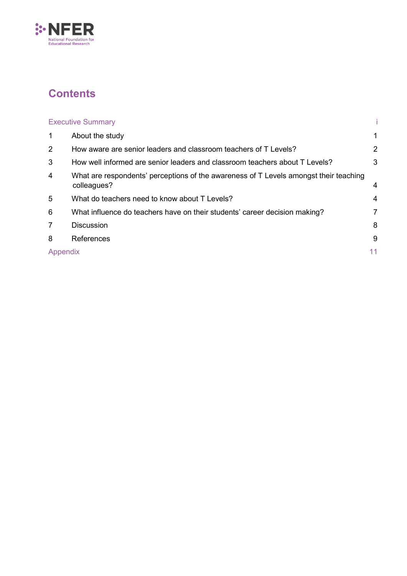

# **Contents**

|                | <b>Executive Summary</b>                                                                             |                |
|----------------|------------------------------------------------------------------------------------------------------|----------------|
| $\mathbf 1$    | About the study                                                                                      | 1              |
| $\overline{2}$ | How aware are senior leaders and classroom teachers of T Levels?                                     | $\overline{2}$ |
| 3              | How well informed are senior leaders and classroom teachers about T Levels?                          | 3              |
| $\overline{4}$ | What are respondents' perceptions of the awareness of T Levels amongst their teaching<br>colleagues? | 4              |
| 5              | What do teachers need to know about T Levels?                                                        | 4              |
| 6              | What influence do teachers have on their students' career decision making?                           | 7              |
| $\overline{7}$ | <b>Discussion</b>                                                                                    | 8              |
| 8              | References                                                                                           | 9              |
| Appendix       |                                                                                                      | 11             |
|                |                                                                                                      |                |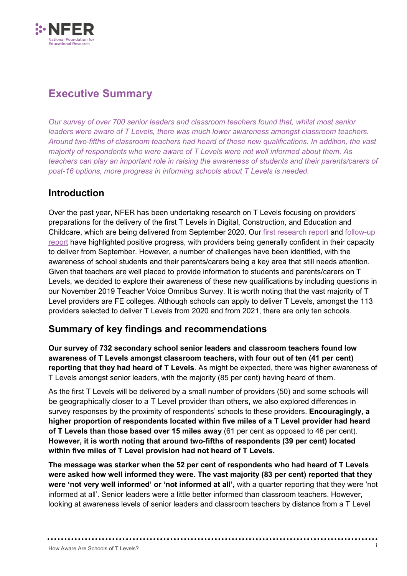

## <span id="page-3-0"></span>**Executive Summary**

*Our survey of over 700 senior leaders and classroom teachers found that, whilst most senior leaders were aware of T Levels, there was much lower awareness amongst classroom teachers. Around two-fifths of classroom teachers had heard of these new qualifications. In addition, the vast majority of respondents who were aware of T Levels were not well informed about them. As teachers can play an important role in raising the awareness of students and their parents/carers of post-16 options, more progress in informing schools about T Levels is needed.*

### **Introduction**

Over the past year, NFER has been undertaking research on T Levels focusing on providers' preparations for the delivery of the first T Levels in Digital, Construction, and Education and Childcare, which are being delivered from September 2020. Our [first research report](https://www.nfer.ac.uk/media/3496/t_levels_research_final_report.pdf) and [follow-up](https://www.nfer.ac.uk/media/3824/t_levels_research_how_are_providers_preparing_for_delivery_follow_up_report.pdf)  [report](https://www.nfer.ac.uk/media/3824/t_levels_research_how_are_providers_preparing_for_delivery_follow_up_report.pdf) have highlighted positive progress, with providers being generally confident in their capacity to deliver from September. However, a number of challenges have been identified, with the awareness of school students and their parents/carers being a key area that still needs attention. Given that teachers are well placed to provide information to students and parents/carers on T Levels, we decided to explore their awareness of these new qualifications by including questions in our November 2019 Teacher Voice Omnibus Survey. It is worth noting that the vast majority of T Level providers are FE colleges. Although schools can apply to deliver T Levels, amongst the 113 providers selected to deliver T Levels from 2020 and from 2021, there are only ten schools.

### **Summary of key findings and recommendations**

**Our survey of 732 secondary school senior leaders and classroom teachers found low awareness of T Levels amongst classroom teachers, with four out of ten (41 per cent) reporting that they had heard of T Levels**. As might be expected, there was higher awareness of T Levels amongst senior leaders, with the majority (85 per cent) having heard of them.

As the first T Levels will be delivered by a small number of providers (50) and some schools will be geographically closer to a T Level provider than others, we also explored differences in survey responses by the proximity of respondents' schools to these providers. **Encouragingly, a higher proportion of respondents located within five miles of a T Level provider had heard of T Levels than those based over 15 miles away** (61 per cent as opposed to 46 per cent). **However, it is worth noting that around two-fifths of respondents (39 per cent) located within five miles of T Level provision had not heard of T Levels.**

**The message was starker when the 52 per cent of respondents who had heard of T Levels were asked how well informed they were. The vast majority (83 per cent) reported that they were 'not very well informed' or 'not informed at all',** with a quarter reporting that they were 'not informed at all'. Senior leaders were a little better informed than classroom teachers. However, looking at awareness levels of senior leaders and classroom teachers by distance from a T Level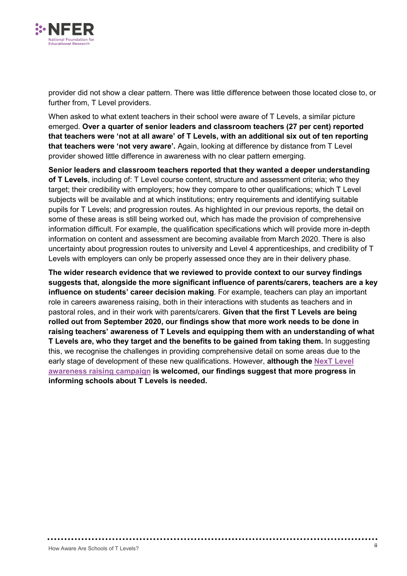

provider did not show a clear pattern. There was little difference between those located close to, or further from, T Level providers.

When asked to what extent teachers in their school were aware of T Levels, a similar picture emerged. **Over a quarter of senior leaders and classroom teachers (27 per cent) reported that teachers were 'not at all aware' of T Levels, with an additional six out of ten reporting that teachers were 'not very aware'.** Again, looking at difference by distance from T Level provider showed little difference in awareness with no clear pattern emerging.

**Senior leaders and classroom teachers reported that they wanted a deeper understanding of T Levels**, including of: T Level course content, structure and assessment criteria; who they target; their credibility with employers; how they compare to other qualifications; which T Level subjects will be available and at which institutions; entry requirements and identifying suitable pupils for T Levels; and progression routes. As highlighted in our previous reports, the detail on some of these areas is still being worked out, which has made the provision of comprehensive information difficult. For example, the qualification specifications which will provide more in-depth information on content and assessment are becoming available from March 2020. There is also uncertainty about progression routes to university and Level 4 apprenticeships, and credibility of T Levels with employers can only be properly assessed once they are in their delivery phase.

**The wider research evidence that we reviewed to provide context to our survey findings suggests that, alongside the more significant influence of parents/carers, teachers are a key influence on students' career decision making**. For example, teachers can play an important role in careers awareness raising, both in their interactions with students as teachers and in pastoral roles, and in their work with parents/carers. **Given that the first T Levels are being rolled out from September 2020, our findings show that more work needs to be done in raising teachers' awareness of T Levels and equipping them with an understanding of what T Levels are, who they target and the benefits to be gained from taking them.** In suggesting this, we recognise the challenges in providing comprehensive detail on some areas due to the early stage of development of these new qualifications. However, **although the [NexT Level](https://www.tlevels.gov.uk/)  [awareness raising campaign](https://www.tlevels.gov.uk/) is welcomed, our findings suggest that more progress in informing schools about T Levels is needed.**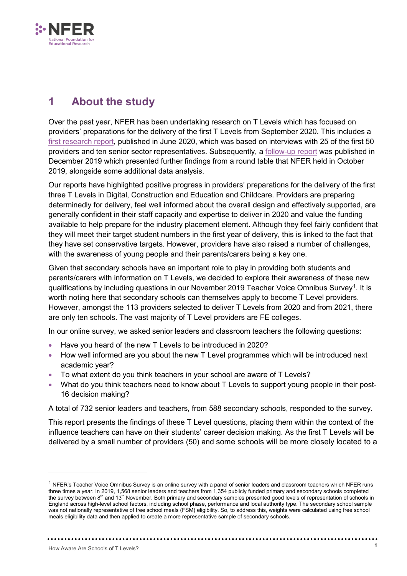

# <span id="page-5-0"></span>**1 About the study**

Over the past year, NFER has been undertaking research on T Levels which has focused on providers' preparations for the delivery of the first T Levels from September 2020. This includes a [first research report,](https://www.nfer.ac.uk/media/3496/t_levels_research_final_report.pdf) published in June 2020, which was based on interviews with 25 of the first 50 providers and ten senior sector representatives. Subsequently, a [follow-up report](https://www.nfer.ac.uk/media/3824/t_levels_research_how_are_providers_preparing_for_delivery_follow_up_report.pdf) was published in December 2019 which presented further findings from a round table that NFER held in October 2019, alongside some additional data analysis.

Our reports have highlighted positive progress in providers' preparations for the delivery of the first three T Levels in Digital, Construction and Education and Childcare. Providers are preparing determinedly for delivery, feel well informed about the overall design and effectively supported, are generally confident in their staff capacity and expertise to deliver in 2020 and value the funding available to help prepare for the industry placement element. Although they feel fairly confident that they will meet their target student numbers in the first year of delivery, this is linked to the fact that they have set conservative targets. However, providers have also raised a number of challenges, with the awareness of young people and their parents/carers being a key one.

Given that secondary schools have an important role to play in providing both students and parents/carers with information on T Levels, we decided to explore their awareness of these new qualifications by including questions in our November 20[1](#page-5-1)9 Teacher Voice Omnibus Survey $^{\rm 1}$ . It is worth noting here that secondary schools can themselves apply to become T Level providers. However, amongst the 113 providers selected to deliver T Levels from 2020 and from 2021, there are only ten schools. The vast majority of T Level providers are FE colleges.

In our online survey, we asked senior leaders and classroom teachers the following questions:

- Have you heard of the new T Levels to be introduced in 2020?
- How well informed are you about the new T Level programmes which will be introduced next academic year?
- To what extent do you think teachers in your school are aware of T Levels?
- What do you think teachers need to know about T Levels to support young people in their post-16 decision making?

A total of 732 senior leaders and teachers, from 588 secondary schools, responded to the survey.

This report presents the findings of these T Level questions, placing them within the context of the influence teachers can have on their students' career decision making. As the first T Levels will be delivered by a small number of providers (50) and some schools will be more closely located to a

-

<span id="page-5-1"></span> $1$  NFER's Teacher Voice Omnibus Survey is an online survey with a panel of senior leaders and classroom teachers which NFER runs three times a year. In 2019, 1,568 senior leaders and teachers from 1,354 publicly funded primary and secondary schools completed the survey between 8<sup>th</sup> and 13<sup>th</sup> November. Both primary and secondary samples presented good levels of representation of schools in England across high-level school factors, including school phase, performance and local authority type. The secondary school sample was not nationally representative of free school meals (FSM) eligibility. So, to address this, weights were calculated using free school meals eligibility data and then applied to create a more representative sample of secondary schools.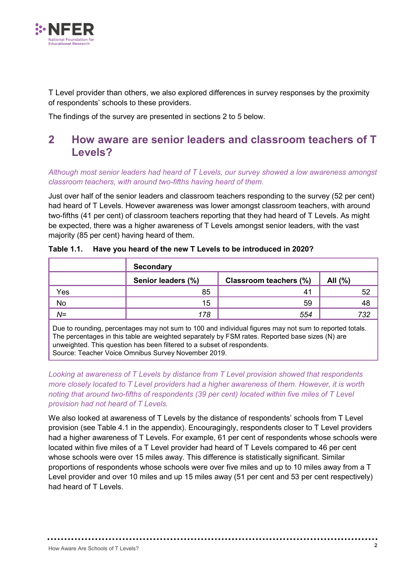

T Level provider than others, we also explored differences in survey responses by the proximity of respondents' schools to these providers.

The findings of the survey are presented in sections 2 to 5 below.

### <span id="page-6-0"></span>**2 How aware are senior leaders and classroom teachers of T Levels?**

*Although most senior leaders had heard of T Levels, our survey showed a low awareness amongst classroom teachers, with around two-fifths having heard of them.* 

Just over half of the senior leaders and classroom teachers responding to the survey (52 per cent) had heard of T Levels. However awareness was lower amongst classroom teachers, with around two-fifths (41 per cent) of classroom teachers reporting that they had heard of T Levels. As might be expected, there was a higher awareness of T Levels amongst senior leaders, with the vast majority (85 per cent) having heard of them.

|                                                                                                             | <b>Secondary</b>   |                        |         |  |  |
|-------------------------------------------------------------------------------------------------------------|--------------------|------------------------|---------|--|--|
|                                                                                                             | Senior leaders (%) | Classroom teachers (%) | All (%) |  |  |
| Yes                                                                                                         | 85                 | -41                    | 52      |  |  |
| No                                                                                                          | 15                 | 59                     | 48      |  |  |
| $N =$                                                                                                       | 178                | 554                    | 732     |  |  |
| $\Box$ Due to reunding perceptages may not sum to 100 and individual figures may not sum to reported totals |                    |                        |         |  |  |

#### **Table 1.1. Have you heard of the new T Levels to be introduced in 2020?**

› rounding, percentages may not sum to 100 and individual figures may not sum to reported totals. The percentages in this table are weighted separately by FSM rates. Reported base sizes (N) are unweighted. This question has been filtered to a subset of respondents. Source: Teacher Voice Omnibus Survey November 2019.

*Looking at awareness of T Levels by distance from T Level provision showed that respondents more closely located to T Level providers had a higher awareness of them. However, it is worth noting that around two-fifths of respondents (39 per cent) located within five miles of T Level provision had not heard of T Levels.*

We also looked at awareness of T Levels by the distance of respondents' schools from T Level provision (see Table 4.1 in the appendix). Encouragingly, respondents closer to T Level providers had a higher awareness of T Levels. For example, 61 per cent of respondents whose schools were located within five miles of a T Level provider had heard of T Levels compared to 46 per cent whose schools were over 15 miles away. This difference is statistically significant. Similar proportions of respondents whose schools were over five miles and up to 10 miles away from a T Level provider and over 10 miles and up 15 miles away (51 per cent and 53 per cent respectively) had heard of T Levels.

. . . . . . . . . . . . . . . . . . .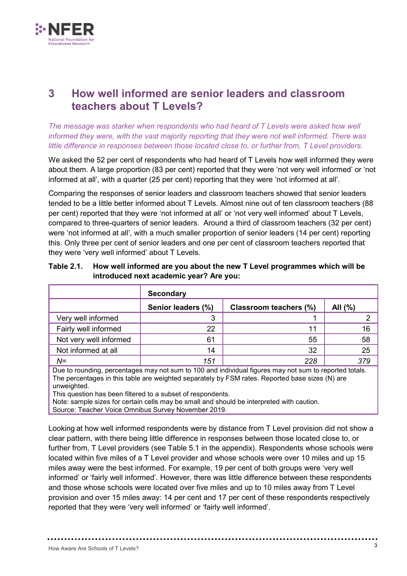

### <span id="page-7-0"></span>**3 How well informed are senior leaders and classroom teachers about T Levels?**

*The message was starker when respondents who had heard of T Levels were asked how well informed they were, with the vast majority reporting that they were not well informed. There was little difference in responses between those located close to, or further from, T Level providers.* 

We asked the 52 per cent of respondents who had heard of T Levels how well informed they were about them. A large proportion (83 per cent) reported that they were 'not very well informed' or 'not informed at all', with a quarter (25 per cent) reporting that they were 'not informed at all'.

Comparing the responses of senior leaders and classroom teachers showed that senior leaders tended to be a little better informed about T Levels. Almost nine out of ten classroom teachers (88 per cent) reported that they were 'not informed at all' or 'not very well informed' about T Levels, compared to three-quarters of senior leaders. Around a third of classroom teachers (32 per cent) were 'not informed at all', with a much smaller proportion of senior leaders (14 per cent) reporting this. Only three per cent of senior leaders and one per cent of classroom teachers reported that they were 'very well informed' about T Levels.

|                        | <b>Secondary</b>   |                        |         |  |
|------------------------|--------------------|------------------------|---------|--|
|                        | Senior leaders (%) | Classroom teachers (%) | All (%) |  |
| Very well informed     | 3                  |                        |         |  |
| Fairly well informed   | 22                 | 11                     | 16      |  |
| Not very well informed | 61                 | 55                     | 58      |  |
| Not informed at all    | 14                 | 32                     | 25      |  |
| $N =$                  | 151                | 228                    | 379     |  |

#### **Table 2.1. How well informed are you about the new T Level programmes which will be introduced next academic year? Are you:**

Due to rounding, percentages may not sum to 100 and individual figures may not sum to reported totals. The percentages in this table are weighted separately by FSM rates. Reported base sizes (N) are unweighted.

This question has been filtered to a subset of respondents.

Note: sample sizes for certain cells may be small and should be interpreted with caution.

Source: Teacher Voice Omnibus Survey November 2019.

Looking at how well informed respondents were by distance from T Level provision did not show a clear pattern, with there being little difference in responses between those located close to, or further from, T Level providers (see Table 5.1 in the appendix). Respondents whose schools were located within five miles of a T Level provider and whose schools were over 10 miles and up 15 miles away were the best informed. For example, 19 per cent of both groups were 'very well informed' or 'fairly well informed'. However, there was little difference between these respondents and those whose schools were located over five miles and up to 10 miles away from T Level provision and over 15 miles away: 14 per cent and 17 per cent of these respondents respectively reported that they were 'very well informed' or 'fairly well informed'.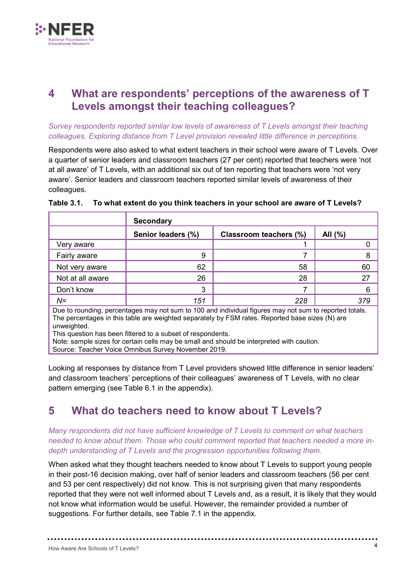

### <span id="page-8-0"></span>**4 What are respondents' perceptions of the awareness of T Levels amongst their teaching colleagues?**

#### *Survey respondents reported similar low levels of awareness of T Levels amongst their teaching colleagues. Exploring distance from T Level provision revealed little difference in perceptions.*

Respondents were also asked to what extent teachers in their school were aware of T Levels. Over a quarter of senior leaders and classroom teachers (27 per cent) reported that teachers were 'not at all aware' of T Levels, with an additional six out of ten reporting that teachers were 'not very aware'. Senior leaders and classroom teachers reported similar levels of awareness of their colleagues.

|                                                                                                                                                                                                                                                                                                                                                                                                                                             | <b>Secondary</b>   |                        |         |  |
|---------------------------------------------------------------------------------------------------------------------------------------------------------------------------------------------------------------------------------------------------------------------------------------------------------------------------------------------------------------------------------------------------------------------------------------------|--------------------|------------------------|---------|--|
|                                                                                                                                                                                                                                                                                                                                                                                                                                             | Senior leaders (%) | Classroom teachers (%) | All (%) |  |
| Very aware                                                                                                                                                                                                                                                                                                                                                                                                                                  |                    |                        |         |  |
| Fairly aware                                                                                                                                                                                                                                                                                                                                                                                                                                | 9                  |                        | 8       |  |
| Not very aware                                                                                                                                                                                                                                                                                                                                                                                                                              | 62                 | 58                     | 60      |  |
| Not at all aware                                                                                                                                                                                                                                                                                                                                                                                                                            | 26                 | 28                     | 27      |  |
| Don't know                                                                                                                                                                                                                                                                                                                                                                                                                                  | 3                  | 7                      | 6       |  |
| $N =$                                                                                                                                                                                                                                                                                                                                                                                                                                       | 151                | 228                    | 379     |  |
| Due to rounding, percentages may not sum to 100 and individual figures may not sum to reported totals.<br>The percentages in this table are weighted separately by FSM rates. Reported base sizes (N) are<br>unweighted.<br>This question has been filtered to a subset of respondents.<br>Note: sample sizes for certain cells may be small and should be interpreted with caution.<br>Source: Teacher Voice Omnibus Survey November 2019. |                    |                        |         |  |

#### **Table 3.1. To what extent do you think teachers in your school are aware of T Levels?**

Looking at responses by distance from T Level providers showed little difference in senior leaders' and classroom teachers' perceptions of their colleagues' awareness of T Levels, with no clear pattern emerging (see Table 6.1 in the appendix).

### <span id="page-8-1"></span>**5 What do teachers need to know about T Levels?**

*Many respondents did not have sufficient knowledge of T Levels to comment on what teachers needed to know about them. Those who could comment reported that teachers needed a more indepth understanding of T Levels and the progression opportunities following them.* 

When asked what they thought teachers needed to know about T Levels to support young people in their post-16 decision making, over half of senior leaders and classroom teachers (56 per cent and 53 per cent respectively) did not know. This is not surprising given that many respondents reported that they were not well informed about T Levels and, as a result, it is likely that they would not know what information would be useful. However, the remainder provided a number of suggestions. For further details, see Table 7.1 in the appendix.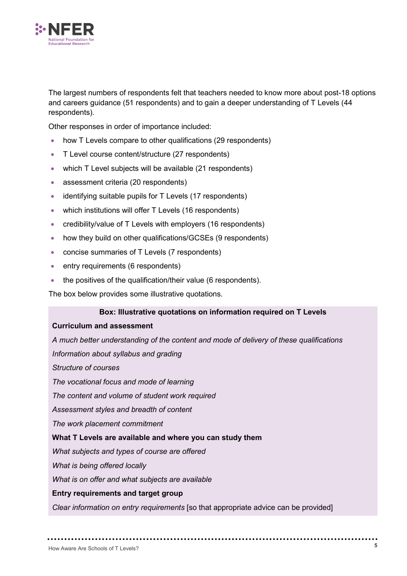

The largest numbers of respondents felt that teachers needed to know more about post-18 options and careers guidance (51 respondents) and to gain a deeper understanding of T Levels (44 respondents).

Other responses in order of importance included:

- how T Levels compare to other qualifications (29 respondents)
- T Level course content/structure (27 respondents)
- which T Level subjects will be available (21 respondents)
- assessment criteria (20 respondents)
- identifying suitable pupils for T Levels (17 respondents)
- which institutions will offer T Levels (16 respondents)
- credibility/value of T Levels with employers (16 respondents)
- how they build on other qualifications/GCSEs (9 respondents)
- concise summaries of T Levels (7 respondents)
- entry requirements (6 respondents)
- the positives of the qualification/their value (6 respondents).

The box below provides some illustrative quotations.

#### **Box: Illustrative quotations on information required on T Levels**

#### **Curriculum and assessment**

*A much better understanding of the content and mode of delivery of these qualifications* 

*Information about syllabus and grading* 

*Structure of courses*

*The vocational focus and mode of learning*

*The content and volume of student work required* 

*Assessment styles and breadth of content* 

*The work placement commitment* 

#### **What T Levels are available and where you can study them**

*What subjects and types of course are offered*

*What is being offered locally*

*What is on offer and what subjects are available* 

#### **Entry requirements and target group**

*Clear information on entry requirements* [so that appropriate advice can be provided]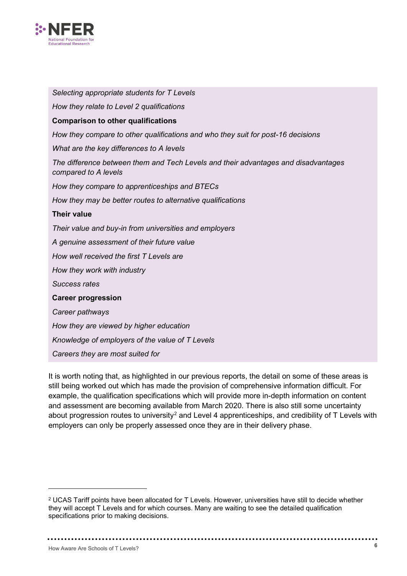

*Selecting appropriate students for T Levels How they relate to Level 2 qualifications* **Comparison to other qualifications** *How they compare to other qualifications and who they suit for post-16 decisions What are the key differences to A levels The difference between them and Tech Levels and their advantages and disadvantages compared to A levels How they compare to apprenticeships and BTECs How they may be better routes to alternative qualifications* **Their value** *Their value and buy-in from universities and employers A genuine assessment of their future value How well received the first T Levels are How they work with industry Success rates* **Career progression**  *Career pathways How they are viewed by higher education Knowledge of employers of the value of T Levels Careers they are most suited for*

It is worth noting that, as highlighted in our previous reports, the detail on some of these areas is still being worked out which has made the provision of comprehensive information difficult. For example, the qualification specifications which will provide more in-depth information on content and assessment are becoming available from March 2020. There is also still some uncertainty about progression routes to university<sup>[2](#page-10-0)</sup> and Level 4 apprenticeships, and credibility of  $T$  Levels with employers can only be properly assessed once they are in their delivery phase.

-

<span id="page-10-0"></span><sup>2</sup> UCAS Tariff points have been allocated for T Levels. However, universities have still to decide whether they will accept T Levels and for which courses. Many are waiting to see the detailed qualification specifications prior to making decisions.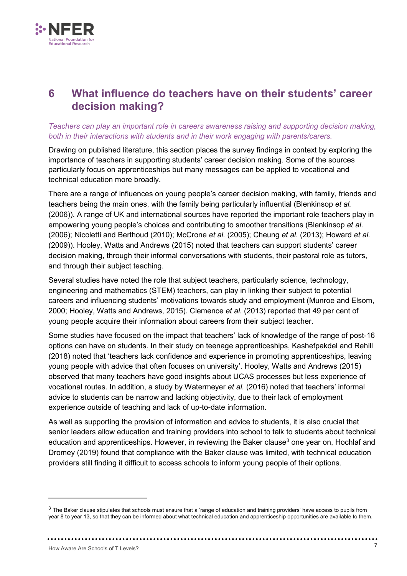

### <span id="page-11-0"></span>**6 What influence do teachers have on their students' career decision making?**

#### *Teachers can play an important role in careers awareness raising and supporting decision making, both in their interactions with students and in their work engaging with parents/carers.*

Drawing on published literature, this section places the survey findings in context by exploring the importance of teachers in supporting students' career decision making. Some of the sources particularly focus on apprenticeships but many messages can be applied to vocational and technical education more broadly.

There are a range of influences on young people's career decision making, with family, friends and teachers being the main ones, with the family being particularly influential (Blenkinsop *et al.*  (2006)). A range of UK and international sources have reported the important role teachers play in empowering young people's choices and contributing to smoother transitions (Blenkinsop *et al*. (2006); Nicoletti and Berthoud (2010); McCrone *et al.* (2005); Cheung *et al.* (2013); Howard *et al.* (2009)). Hooley, Watts and Andrews (2015) noted that teachers can support students' career decision making, through their informal conversations with students, their pastoral role as tutors, and through their subject teaching.

Several studies have noted the role that subject teachers, particularly science, technology, engineering and mathematics (STEM) teachers, can play in linking their subject to potential careers and influencing students' motivations towards study and employment (Munroe and Elsom, 2000; Hooley, Watts and Andrews, 2015). Clemence *et al.* (2013) reported that 49 per cent of young people acquire their information about careers from their subject teacher.

Some studies have focused on the impact that teachers' lack of knowledge of the range of post-16 options can have on students. In their study on teenage apprenticeships, Kashefpakdel and Rehill (2018) noted that 'teachers lack confidence and experience in promoting apprenticeships, leaving young people with advice that often focuses on university'. Hooley, Watts and Andrews (2015) observed that many teachers have good insights about UCAS processes but less experience of vocational routes. In addition, a study by Watermeyer *et al.* (2016) noted that teachers' informal advice to students can be narrow and lacking objectivity, due to their lack of employment experience outside of teaching and lack of up-to-date information.

As well as supporting the provision of information and advice to students, it is also crucial that senior leaders allow education and training providers into school to talk to students about technical education and apprenticeships. However, in reviewing the Baker clause<sup>3</sup> one year on, Hochlaf and Dromey (2019) found that compliance with the Baker clause was limited, with technical education providers still finding it difficult to access schools to inform young people of their options.

-

<span id="page-11-1"></span> $3$  The Baker clause stipulates that schools must ensure that a 'range of education and training providers' have access to pupils from year 8 to year 13, so that they can be informed about what technical education and apprenticeship opportunities are available to them.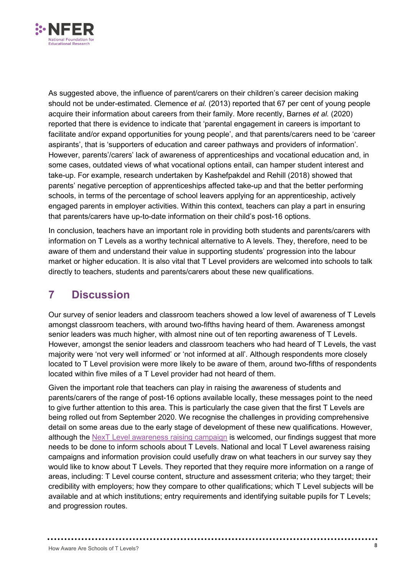

As suggested above, the influence of parent/carers on their children's career decision making should not be under-estimated. Clemence *et al.* (2013) reported that 67 per cent of young people acquire their information about careers from their family. More recently, Barnes *et al.* (2020) reported that there is evidence to indicate that 'parental engagement in careers is important to facilitate and/or expand opportunities for young people', and that parents/carers need to be 'career aspirants', that is 'supporters of education and career pathways and providers of information'. However, parents'/carers' lack of awareness of apprenticeships and vocational education and, in some cases, outdated views of what vocational options entail, can hamper student interest and take-up. For example, research undertaken by Kashefpakdel and Rehill (2018) showed that parents' negative perception of apprenticeships affected take-up and that the better performing schools, in terms of the percentage of school leavers applying for an apprenticeship, actively engaged parents in employer activities. Within this context, teachers can play a part in ensuring that parents/carers have up-to-date information on their child's post-16 options.

In conclusion, teachers have an important role in providing both students and parents/carers with information on T Levels as a worthy technical alternative to A levels. They, therefore, need to be aware of them and understand their value in supporting students' progression into the labour market or higher education. It is also vital that T Level providers are welcomed into schools to talk directly to teachers, students and parents/carers about these new qualifications.

### <span id="page-12-0"></span>**7 Discussion**

Our survey of senior leaders and classroom teachers showed a low level of awareness of T Levels amongst classroom teachers, with around two-fifths having heard of them. Awareness amongst senior leaders was much higher, with almost nine out of ten reporting awareness of T Levels. However, amongst the senior leaders and classroom teachers who had heard of T Levels, the vast majority were 'not very well informed' or 'not informed at all'. Although respondents more closely located to T Level provision were more likely to be aware of them, around two-fifths of respondents located within five miles of a T Level provider had not heard of them.

Given the important role that teachers can play in raising the awareness of students and parents/carers of the range of post-16 options available locally, these messages point to the need to give further attention to this area. This is particularly the case given that the first T Levels are being rolled out from September 2020. We recognise the challenges in providing comprehensive detail on some areas due to the early stage of development of these new qualifications. However, although the NexT [Level awareness raising campaign](https://www.tlevels.gov.uk/) is welcomed, our findings suggest that more needs to be done to inform schools about T Levels. National and local T Level awareness raising campaigns and information provision could usefully draw on what teachers in our survey say they would like to know about T Levels. They reported that they require more information on a range of areas, including: T Level course content, structure and assessment criteria; who they target; their credibility with employers; how they compare to other qualifications; which T Level subjects will be available and at which institutions; entry requirements and identifying suitable pupils for T Levels; and progression routes.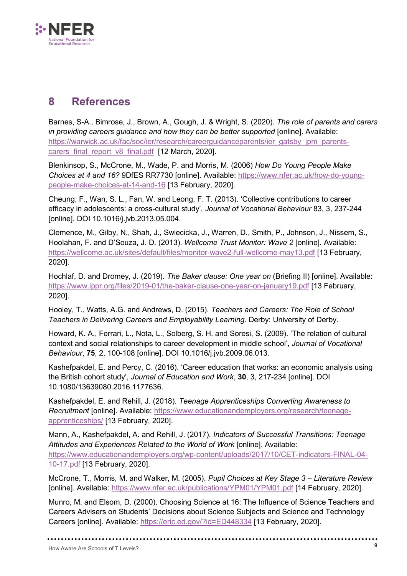

## <span id="page-13-0"></span>**8 References**

Barnes, S-A., Bimrose, J., Brown, A., Gough, J. & Wright, S. (2020). *The role of parents and carers in providing careers guidance and how they can be better supported* [online]. Available: [https://warwick.ac.uk/fac/soc/ier/research/careerguidanceparents/ier\\_gatsby\\_jpm\\_parents](https://warwick.ac.uk/fac/soc/ier/research/careerguidanceparents/ier_gatsby_jpm_parents-carers_final_report_v8_final.pdf%20%20%5b12)carers final report v8 final.pdf [12 March, 2020].

Blenkinsop, S., McCrone, M., Wade, P. and Morris, M. (2006) *How Do Young People Make Choices at 4 and 16?* 9DfES RR7730 [online]. Available: [https://www.nfer.ac.uk/how-do-young](https://www.nfer.ac.uk/how-do-young-people-make-choices-at-14-and-16)[people-make-choices-at-14-and-16](https://www.nfer.ac.uk/how-do-young-people-make-choices-at-14-and-16) [13 February, 2020].

Cheung, F., Wan, S. L., Fan, W. and Leong, F. T. (2013). 'Collective contributions to career efficacy in adolescents: a cross-cultural study', *Journal of Vocational Behaviour* 83, 3, 237-244 [online]. DOI 10.1016/j.jvb.2013.05.004.

Clemence, M., Gilby, N., Shah, J., Swiecicka, J., Warren, D., Smith, P., Johnson, J., Nissem, S., Hoolahan, F. and D'Souza, J. D. (2013). *Wellcome Trust Monitor: Wave 2* [online]. Available: <https://wellcome.ac.uk/sites/default/files/monitor-wave2-full-wellcome-may13.pdf> [13 February, 2020].

Hochlaf, D. and Dromey, J. (2019). *The Baker clause: One year on* (Briefing II) [online]. Available: <https://www.ippr.org/files/2019-01/the-baker-clause-one-year-on-january19.pdf> [13 February, 2020].

Hooley, T., Watts, A.G. and Andrews, D. (2015). *Teachers and Careers: The Role of School Teachers in Delivering Careers and Employability Learning.* Derby: University of Derby.

Howard, K. A., Ferrari, L., Nota, L., Solberg, S. H. and Soresi, S. (2009). 'The relation of cultural context and social relationships to career development in middle school', *Journal of Vocational Behaviour*, **75**, 2, 100-108 [online]. DOI 10.1016/j.jvb.2009.06.013.

Kashefpakdel, E. and Percy, C. (2016). 'Career education that works: an economic analysis using the British cohort study', *Journal of Education and Work*, **30**, 3, 217-234 [online]. DOI 10.1080/13639080.2016.1177636.

Kashefpakdel, E. and Rehill, J. (2018). *Teenage Apprenticeships Converting Awareness to Recruitment* [online]. Available: [https://www.educationandemployers.org/research/teenage](https://www.educationandemployers.org/research/teenage-apprenticeships/)[apprenticeships/](https://www.educationandemployers.org/research/teenage-apprenticeships/) [13 February, 2020].

Mann, A., Kashefpakdel, A. and Rehill, J. (2017). *Indicators of Successful Transitions: Teenage Attitudes and Experiences Related to the World of Work* [online]. Available: [https://www.educationandemployers.org/wp-content/uploads/2017/10/CET-indicators-FINAL-04-](https://www.educationandemployers.org/wp-content/uploads/2017/10/CET-indicators-FINAL-04-10-17.pdf) [10-17.pdf](https://www.educationandemployers.org/wp-content/uploads/2017/10/CET-indicators-FINAL-04-10-17.pdf) [13 February, 2020].

McCrone, T., Morris, M. and Walker, M. (2005). *Pupil Choices at Key Stage 3 – Literature Review*  [online]. Available:<https://www.nfer.ac.uk/publications/YPM01/YPM01.pdf> [14 February, 2020].

Munro, M. and Elsom, D. (2000). Choosing Science at 16: The Influence of Science Teachers and Careers Advisers on Students' Decisions about Science Subjects and Science and Technology Careers [online]. Available:<https://eric.ed.gov/?id=ED448334> [13 February, 2020].

................................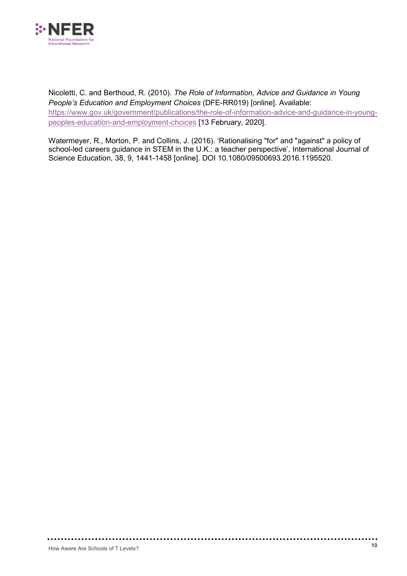

Nicoletti, C. and Berthoud, R. (2010). *The Role of Information, Advice and Guidance in Young People's Education and Employment Choices* (DFE-RR019) [online]. Available: [https://www.gov.uk/government/publications/the-role-of-information-advice-and-guidance-in-young](https://www.gov.uk/government/publications/the-role-of-information-advice-and-guidance-in-young-peoples-education-and-employment-choices)[peoples-education-and-employment-choices](https://www.gov.uk/government/publications/the-role-of-information-advice-and-guidance-in-young-peoples-education-and-employment-choices) [13 February, 2020].

Watermeyer, R., Morton, P. and Collins, J. (2016). 'Rationalising "for" and "against" a policy of school-led careers guidance in STEM in the U.K.: a teacher perspective', International Journal of Science Education, 38, 9, 1441-1458 [online]. DOI 10.1080/09500693.2016.1195520.

. . . . . . . . . . . . . . . .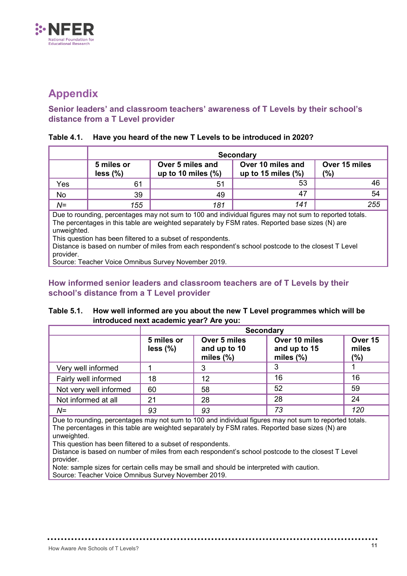

### <span id="page-15-0"></span>**Appendix**

#### **Senior leaders' and classroom teachers' awareness of T Levels by their school's distance from a T Level provider**

#### **Table 4.1. Have you heard of the new T Levels to be introduced in 2020?**

|                                                                                                                                                                                                                                                                                                                                                                                               | <b>Secondary</b>         |                                           |                                            |                      |  |
|-----------------------------------------------------------------------------------------------------------------------------------------------------------------------------------------------------------------------------------------------------------------------------------------------------------------------------------------------------------------------------------------------|--------------------------|-------------------------------------------|--------------------------------------------|----------------------|--|
|                                                                                                                                                                                                                                                                                                                                                                                               | 5 miles or<br>$less$ (%) | Over 5 miles and<br>up to 10 miles $(\%)$ | Over 10 miles and<br>up to 15 miles $(\%)$ | Over 15 miles<br>(%) |  |
| Yes                                                                                                                                                                                                                                                                                                                                                                                           | 61                       | 51                                        | 53                                         | 46                   |  |
| No                                                                                                                                                                                                                                                                                                                                                                                            | 39                       | 49                                        | 47                                         | 54                   |  |
| $N=$                                                                                                                                                                                                                                                                                                                                                                                          | 155                      | 181                                       | 141                                        | 255                  |  |
| Due to rounding, percentages may not sum to 100 and individual figures may not sum to reported totals.<br>The percentages in this table are weighted separately by FSM rates. Reported base sizes (N) are<br>unweighted.<br>This question has been filtered to a subset of respondents.<br>Distance is based on number of miles from each respondent's school postcode to the closest T Level |                          |                                           |                                            |                      |  |

provider. Source: Teacher Voice Omnibus Survey November 2019.

#### **How informed senior leaders and classroom teachers are of T Levels by their school's distance from a T Level provider**

#### **Table 5.1. How well informed are you about the new T Level programmes which will be introduced next academic year? Are you:**

|                        | <b>Secondary</b>       |                                              |                                               |                         |  |
|------------------------|------------------------|----------------------------------------------|-----------------------------------------------|-------------------------|--|
|                        | 5 miles or<br>less (%) | Over 5 miles<br>and up to 10<br>miles $(\%)$ | Over 10 miles<br>and up to 15<br>miles $(\%)$ | Over 15<br>miles<br>(%) |  |
| Very well informed     |                        | 3                                            | 3                                             |                         |  |
| Fairly well informed   | 18                     | 12                                           | 16                                            | 16                      |  |
| Not very well informed | 60                     | 58                                           | 52                                            | 59                      |  |
| Not informed at all    | 21                     | 28                                           | 28                                            | 24                      |  |
| $N =$                  | 93                     | 93                                           | 73                                            | 120                     |  |

Due to rounding, percentages may not sum to 100 and individual figures may not sum to reported totals. The percentages in this table are weighted separately by FSM rates. Reported base sizes (N) are unweighted.

This question has been filtered to a subset of respondents.

. . . . . . . . . . . . . . .

Distance is based on number of miles from each respondent's school postcode to the closest T Level provider.

Note: sample sizes for certain cells may be small and should be interpreted with caution. Source: Teacher Voice Omnibus Survey November 2019.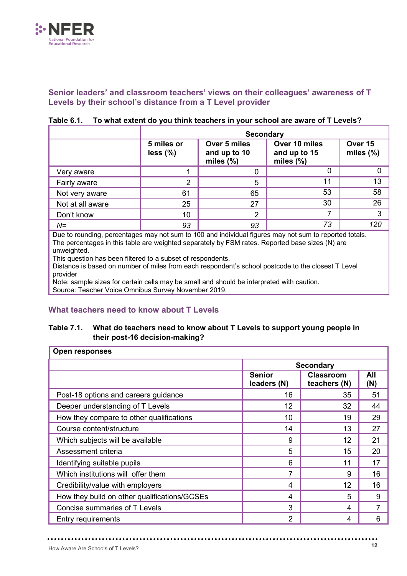

#### **Senior leaders' and classroom teachers' views on their colleagues' awareness of T Levels by their school's distance from a T Level provider**

|                  | <b>Secondary</b>                                                                                                          |    |                         |     |  |
|------------------|---------------------------------------------------------------------------------------------------------------------------|----|-------------------------|-----|--|
|                  | Over 10 miles<br>5 miles or<br>Over 5 miles<br>and up to 10<br>$less$ (%)<br>and up to 15<br>miles $(\%)$<br>miles $(\%)$ |    | Over 15<br>miles $(\%)$ |     |  |
| Very aware       |                                                                                                                           | O  | 0                       |     |  |
| Fairly aware     | 2                                                                                                                         | 5  | 11                      | 13  |  |
| Not very aware   | 61                                                                                                                        | 65 | 53                      | 58  |  |
| Not at all aware | 25                                                                                                                        | 27 | 30                      | 26  |  |
| Don't know       | 10                                                                                                                        | 2  |                         | 3   |  |
| $N =$            | 93                                                                                                                        | 93 | 73                      | 120 |  |

#### **Table 6.1. To what extent do you think teachers in your school are aware of T Levels?**

Due to rounding, percentages may not sum to 100 and individual figures may not sum to reported totals. The percentages in this table are weighted separately by FSM rates. Reported base sizes (N) are unweighted.

This question has been filtered to a subset of respondents.

Distance is based on number of miles from each respondent's school postcode to the closest T Level provider

Note: sample sizes for certain cells may be small and should be interpreted with caution. Source: Teacher Voice Omnibus Survey November 2019.

#### **What teachers need to know about T Levels**

#### **Table 7.1. What do teachers need to know about T Levels to support young people in their post-16 decision-making?**

| Open responses                               |                              |                                  |                |  |  |
|----------------------------------------------|------------------------------|----------------------------------|----------------|--|--|
|                                              | <b>Secondary</b>             |                                  |                |  |  |
|                                              | <b>Senior</b><br>leaders (N) | <b>Classroom</b><br>teachers (N) | All<br>(N)     |  |  |
| Post-18 options and careers guidance         | 16                           | 35                               | 51             |  |  |
| Deeper understanding of T Levels             | 12                           | 32                               | 44             |  |  |
| How they compare to other qualifications     | 10                           | 19                               | 29             |  |  |
| Course content/structure                     | 14                           | 13                               | 27             |  |  |
| Which subjects will be available             | 9                            | 12                               | 21             |  |  |
| Assessment criteria                          | 5                            | 15                               | 20             |  |  |
| Identifying suitable pupils                  | 6                            | 11                               | 17             |  |  |
| Which institutions will offer them           | 7                            | 9                                | 16             |  |  |
| Credibility/value with employers             | 4                            | 12                               | 16             |  |  |
| How they build on other qualifications/GCSEs | 4                            | 5                                | 9              |  |  |
| Concise summaries of T Levels                | 3                            | 4                                | $\overline{7}$ |  |  |
| <b>Entry requirements</b>                    | 2                            | 4                                | 6              |  |  |

**\*\*\*\*\*\*\*\*\***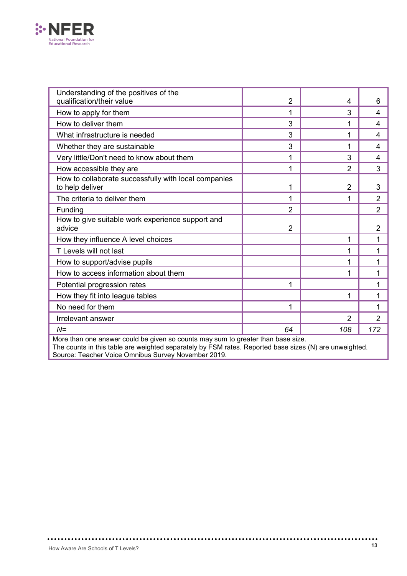

| Understanding of the positives of the<br>qualification/their value      | $\overline{2}$ | 4              | 6              |
|-------------------------------------------------------------------------|----------------|----------------|----------------|
| How to apply for them                                                   | 1              | 3              | 4              |
| How to deliver them                                                     | 3              | 1              | 4              |
| What infrastructure is needed                                           | 3              | 1              | 4              |
| Whether they are sustainable                                            | 3              | 1              | 4              |
| Very little/Don't need to know about them                               | 1              | 3              | 4              |
| How accessible they are                                                 | 1              | $\overline{2}$ | 3              |
| How to collaborate successfully with local companies<br>to help deliver | 1              | $\overline{2}$ | 3              |
| The criteria to deliver them                                            | 1              | 1              | $\overline{2}$ |
| Funding                                                                 | $\overline{2}$ |                | $\overline{2}$ |
| How to give suitable work experience support and<br>advice              | $\overline{2}$ |                | $\overline{2}$ |
| How they influence A level choices                                      |                | 1              | 1              |
| T Levels will not last                                                  |                | 1              | 1              |
| How to support/advise pupils                                            |                | 1              | 1              |
| How to access information about them                                    |                | 1              | 1              |
| Potential progression rates                                             | 1              |                | 1              |
| How they fit into league tables                                         |                | 1              | 1              |
| No need for them                                                        | 1              |                | 1              |
| Irrelevant answer                                                       |                | $\overline{2}$ | $\overline{2}$ |
| $N =$                                                                   | 64             | 108            | 172            |

More than one answer could be given so counts may sum to greater than base size. The counts in this table are weighted separately by FSM rates. Reported base sizes (N) are unweighted. Source: Teacher Voice Omnibus Survey November 2019.

................

.............